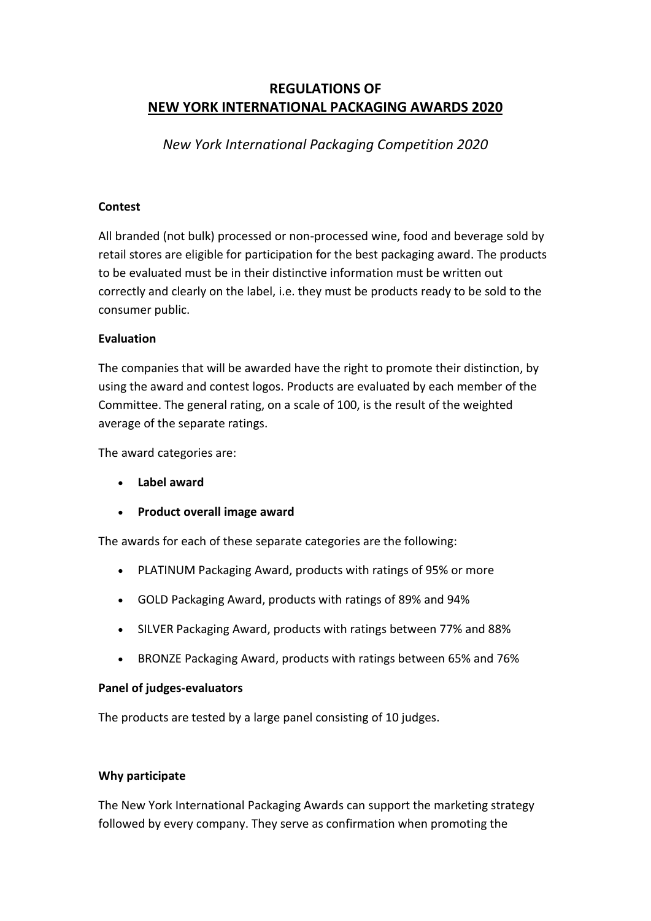# **REGULATIONS OF NEW YORK INTERNATIONAL PACKAGING AWARDS 2020**

*New York International Packaging Competition 2020* 

## **Contest**

All branded (not bulk) processed or non-processed wine, food and beverage sold by retail stores are eligible for participation for the best packaging award. The products to be evaluated must be in their distinctive information must be written out correctly and clearly on the label, i.e. they must be products ready to be sold to the consumer public.

### **Evaluation**

The companies that will be awarded have the right to promote their distinction, by using the award and contest logos. Products are evaluated by each member of the Committee. The general rating, on a scale of 100, is the result of the weighted average of the separate ratings.

The award categories are:

- **Label award**
- **Product overall image award**

The awards for each of these separate categories are the following:

- PLATINUM Packaging Award, products with ratings of 95% or more
- GOLD Packaging Award, products with ratings of 89% and 94%
- SILVER Packaging Award, products with ratings between 77% and 88%
- BRONZE Packaging Award, products with ratings between 65% and 76%

#### **Panel of judges-evaluators**

The products are tested by a large panel consisting of 10 judges.

#### **Why participate**

The New York International Packaging Awards can support the marketing strategy followed by every company. They serve as confirmation when promoting the